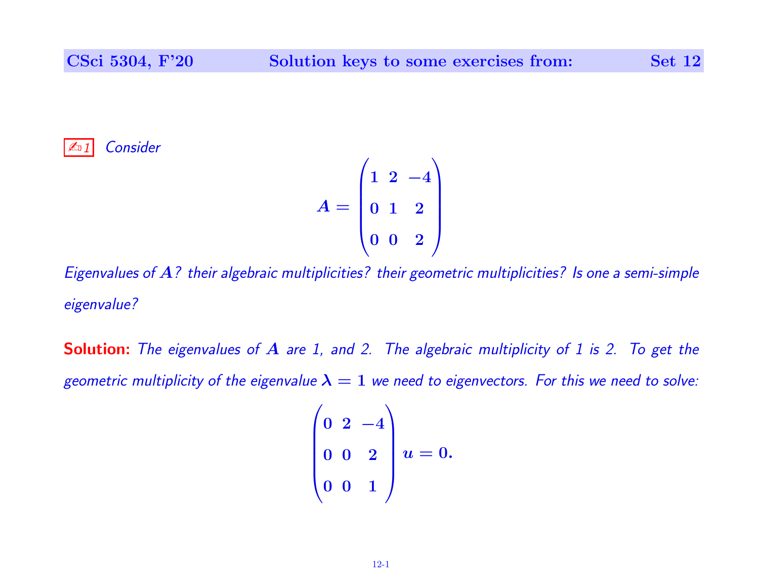**Consider** 

$$
A = \begin{pmatrix} 1 & 2 & -4 \\ 0 & 1 & 2 \\ 0 & 0 & 2 \end{pmatrix}
$$

Eigenvalues of A? their algebraic multiplicities? their geometric multiplicities? Is one a semi-simple eigenvalue?

Solution: The eigenvalues of A are 1, and 2. The algebraic multiplicity of 1 is 2. To get the geometric multiplicity of the eigenvalue  $\lambda = 1$  we need to eigenvectors. For this we need to solve:

$$
\begin{pmatrix} 0 & 2 & -4 \ 0 & 0 & 2 \ 0 & 0 & 1 \end{pmatrix} u = 0.
$$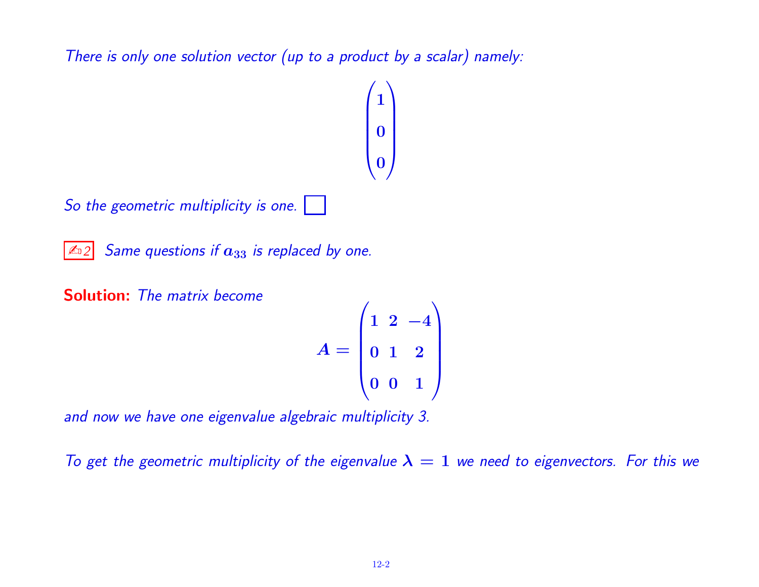There is only one solution vector (up to a product by a scalar) namely:



$$
A = \begin{pmatrix} 1 & 2 & -4 \\ 0 & 1 & 2 \\ 0 & 0 & 1 \end{pmatrix}
$$

and now we have one eigenvalue algebraic multiplicity 3.

To get the geometric multiplicity of the eigenvalue  $\lambda = 1$  we need to eigenvectors. For this we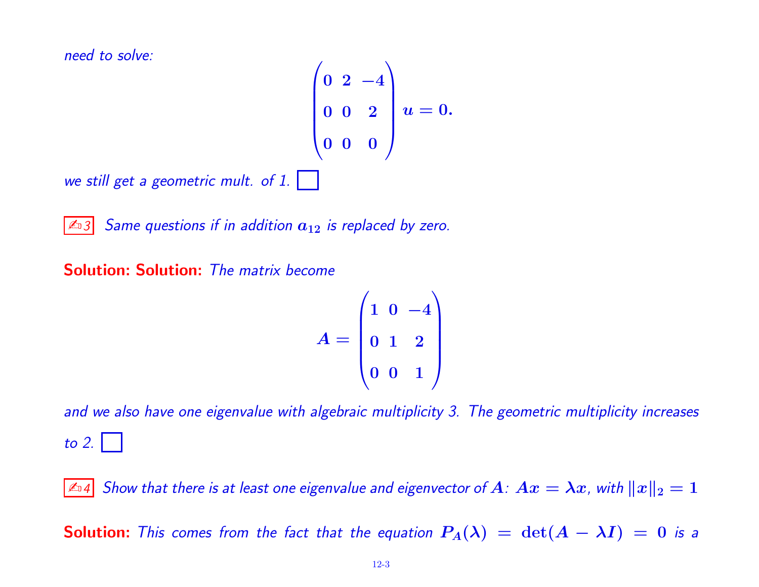need to solve:

$$
\begin{pmatrix} 0 & 2 & -4 \ 0 & 0 & 2 \ 0 & 0 & 0 \end{pmatrix} u = 0.
$$

we still get a geometric mult. of

 $\mathbb{Z}$ 3 Same questions if in addition  $a_{12}$  is replaced by zero.

Solution: Solution: The matrix become

$$
A = \begin{pmatrix} 1 & 0 & -4 \\ 0 & 1 & 2 \\ 0 & 0 & 1 \end{pmatrix}
$$

and we also have one eigenvalue with algebraic multiplicity 3. The geometric multiplicity increases to 2.  $\vert$ 

 $\mathbb{Z}$ ¤4  $\,$  Show that there is at least one eigenvalue and eigenvector of  $A\colon Ax = \lambda x$  ,with  $\|x\|_2 = 1$ 

**Solution:** This comes from the fact that the equation  $P_A(\lambda) = \det(A - \lambda I) = 0$  is a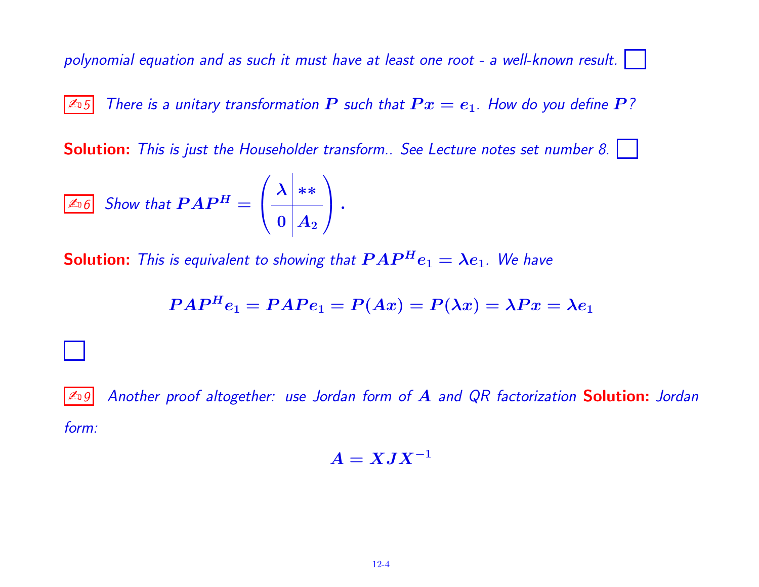polynomial equation and as such it must have at least one root - a well-known result.

 $\boxed{\mathbb{Z}_0 5}$  There is a unitary transformation  $\bm{P}$  such that  $\bm{P} x = \bm{e}_1$ . How do you define  $\bm{P}$ ?

Solution: This is just the Householder transform.. See Lecture notes set number 8. |

$$
\boxed{\text{And}\quad \text{Show that } PAP^H = \left(\begin{array}{c|c} \lambda & \ast \ast \\ \hline 0 & A_2 \end{array}\right).
$$

**Solution:** This is equivalent to showing that  $PAP^He_1 = \lambda e_1$ . We have

$$
PAP^He_1= PAPe_1=P(Ax)=P(\lambda x)=\lambda Px=\lambda e_1
$$

 $\mathbb{Z}_9$  Another proof altogether: use Jordan form of  $A$  and QR factorization **Solution:** Jordan form:

$$
A = XJX^{-1}
$$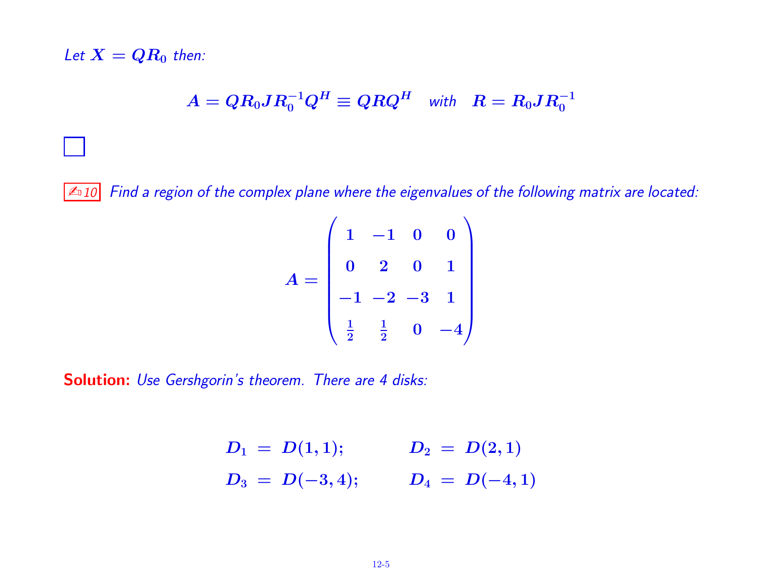Let  $X = QR_0$  then:

$$
A=QR_0JR_0^{-1}Q^H\equiv QRQ^H\quad\text{\rm with}\quad R=R_0JR_0^{-1}
$$

**E** 10 Find a region of the complex plane where the eigenvalues of the following matrix are located:

$$
A = \begin{pmatrix} 1 & -1 & 0 & 0 \\ 0 & 2 & 0 & 1 \\ -1 & -2 & -3 & 1 \\ \frac{1}{2} & \frac{1}{2} & 0 & -4 \end{pmatrix}
$$

Solution: Use Gershgorin's theorem. There are 4 disks:

$$
D_1 = D(1,1);
$$
  $D_2 = D(2,1)$   
\n $D_3 = D(-3,4);$   $D_4 = D(-4,1)$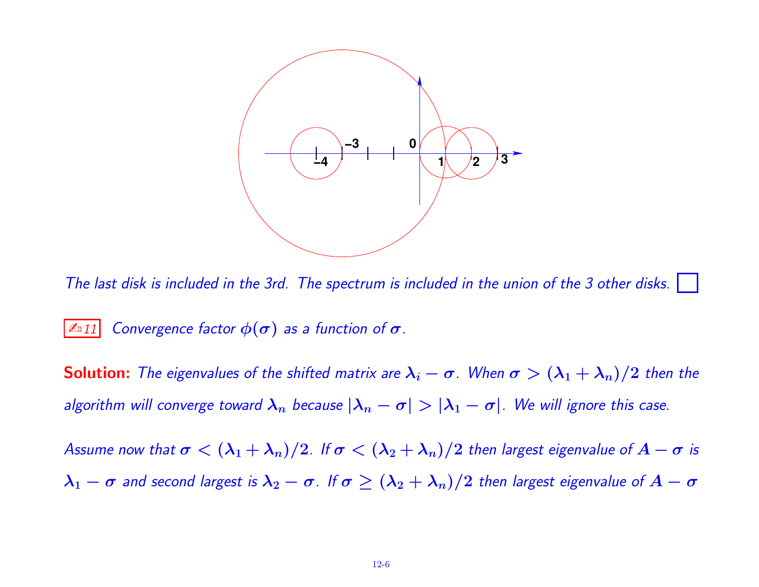

The last disk is included in the 3rd. The spectrum is included in the union of the 3 other disks.

## $\boxed{\mathbb{Z}_\mathbb{D}11}$  Convergence factor  $\phi(\bm{\sigma})$  as a function of  $\bm{\sigma}$ .

**Solution:** The eigenvalues of the shifted matrix are  $\lambda_i - \sigma$ . When  $\sigma > (\lambda_1 + \lambda_n)/2$  then the algorithm will converge toward  $\lambda_n$  because  $|\lambda_n - \sigma| > |\lambda_1 - \sigma|$ . We will ignore this case.

Assume now that  $\sigma < (\lambda_1 + \lambda_n)/2$ . If  $\sigma < (\lambda_2 + \lambda_n)/2$  then largest eigenvalue of  $A - \sigma$  is  $\lambda_1-\sigma$  and second largest is  $\lambda_2-\sigma$ . If  $\sigma\geq (\lambda_2+\lambda_n)/2$  then largest eigenvalue of  $A-\sigma$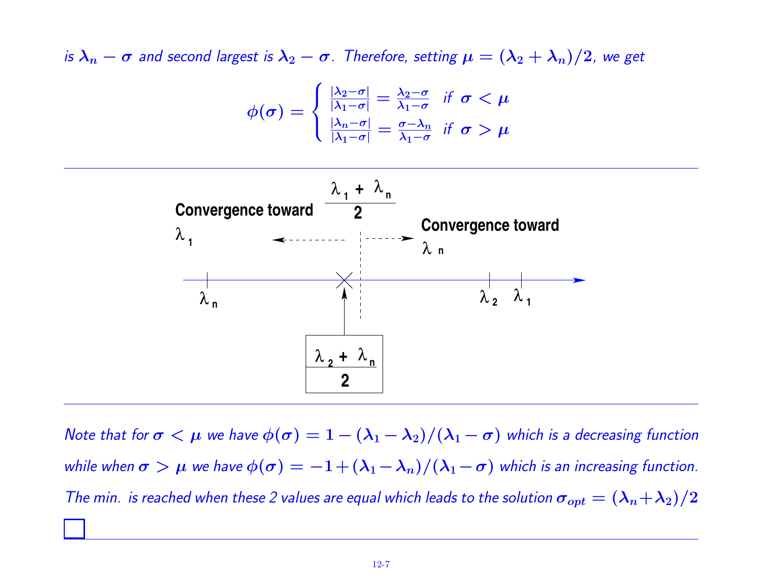is  $\lambda_n - \sigma$  and second largest is  $\lambda_2 - \sigma$ . Therefore, setting  $\mu = (\lambda_2 + \lambda_n)/2$ , we get

$$
\phi(\sigma) = \begin{cases} \frac{|\lambda_2 - \sigma|}{|\lambda_1 - \sigma|} = \frac{\lambda_2 - \sigma}{\lambda_1 - \sigma} & \text{if } \sigma < \mu\\ \frac{|\lambda_n - \sigma|}{|\lambda_1 - \sigma|} = \frac{\sigma - \lambda_n}{\lambda_1 - \sigma} & \text{if } \sigma > \mu \end{cases}
$$



Note that for  $\sigma < \mu$  we have  $\phi(\sigma) = 1 - (\lambda_1 - \lambda_2)/(\lambda_1 - \sigma)$  which is a decreasing function while when  $\sigma > \mu$  we have  $\phi(\sigma) = -1 + (\lambda_1 - \lambda_n)/(\lambda_1 - \sigma)$  which is an increasing function. The min. is reached when these 2 values are equal which leads to the solution  $\sigma_{opt}=(\lambda_n{+}\lambda_2)/2$